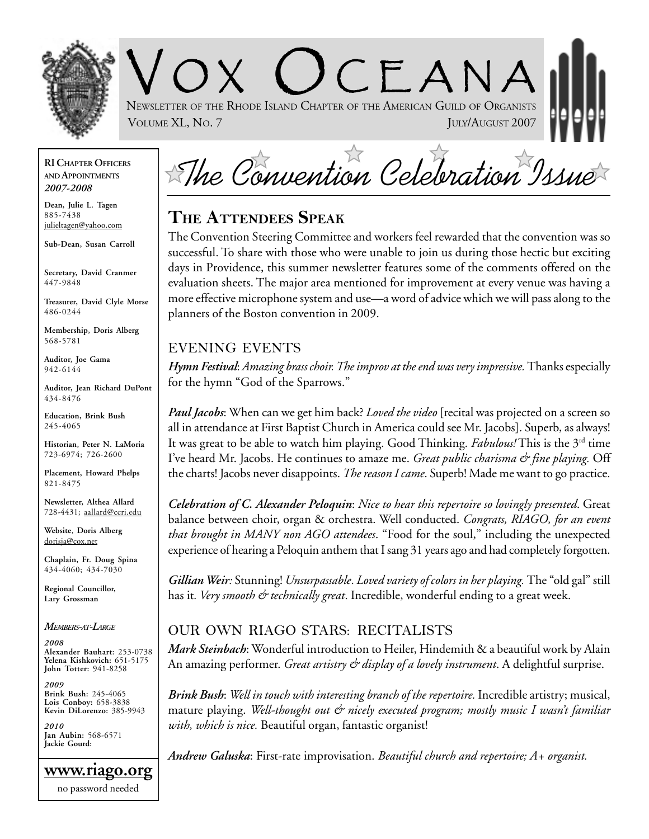

NEWSLETTER OF THE RHODE ISLAND CHAPTER OF THE AMERICAN GUILD OF ORGANISTS VOLUME XL, No. 7 JULY/AUGUST 2007

#### **RI CHAPTER OFFICERS AND APPOINTMENTS** *2007-2008*

**Dean, Julie L. Tagen** 885-7438 julieltagen@yahoo.com

**Sub-Dean, Susan Carroll**

**Secretary, David Cranmer** 447-9848

**Treasurer, David Clyle Morse** 486-0244

**Membership, Doris Alberg** 568-5781

**Auditor, Joe Gama** 942-6144

**Auditor, Jean Richard DuPont** 434-8476

**Education, Brink Bush** 245-4065

**Historian, Peter N. LaMoria** 723-6974; 726-2600

**Placement, Howard Phelps** 821-8475

**Newsletter, Althea Allard** 728-4431; aallard@ccri.edu

**Website**, **Doris Alberg** dorisja@cox.net

**Chaplain, Fr. Doug Spina** 434-4060; 434-7030

**Regional Councillor, Lary Grossman**

*MEMBERS-AT-LARGE*

*2008* **Alexander Bauhart:** 253-0738 **Yelena Kishkovich:** 651-5175 **John Totter:** 941-8258

*2009* **Brink Bush:** 245-4065 **Lois Conboy:** 658-3838 **Kevin DiLorenzo:** 385-9943

*2010* **Jan Aubin:** 568-6571 **Jackie Gourd:**

**www.riago.org** no password needed

The Convention Celebration Issue

 $C$   $F$   $A$  N  $A$ 

# **THE ATTENDEES SPEAK**

The Convention Steering Committee and workers feel rewarded that the convention was so successful. To share with those who were unable to join us during those hectic but exciting days in Providence, this summer newsletter features some of the comments offered on the evaluation sheets. The major area mentioned for improvement at every venue was having a more effective microphone system and use—a word of advice which we will pass along to the planners of the Boston convention in 2009.

#### EVENING EVENTS

*Hymn Festival*: *Amazing brass choir. The improv at the end was very impressive.* Thanks especially for the hymn "God of the Sparrows."

*Paul Jacobs*: When can we get him back? *Loved the video* [recital was projected on a screen so all in attendance at First Baptist Church in America could see Mr. Jacobs]. Superb, as always! It was great to be able to watch him playing. Good Thinking. *Fabulous!* This is the 3rd time I've heard Mr. Jacobs. He continues to amaze me. *Great public charisma & fine playing.* Off the charts! Jacobs never disappoints. *The reason I came*. Superb! Made me want to go practice.

*Celebration of C. Alexander Peloquin*: *Nice to hear this repertoire so lovingly presented*. Great balance between choir, organ & orchestra. Well conducted. *Congrats, RIAGO, for an event that brought in MANY non AGO attendees*. "Food for the soul," including the unexpected experience of hearing a Peloquin anthem that I sang 31 years ago and had completely forgotten.

*Gillian Weir:* Stunning! *Unsurpassable*. *Loved variety of colors in her playing.* The "old gal" still has it. Very smooth & technically great. Incredible, wonderful ending to a great week.

### OUR OWN RIAGO STARS: RECITALISTS

*Mark Steinbach*: Wonderful introduction to Heiler, Hindemith & a beautiful work by Alain An amazing performer. *Great artistry & display of a lovely instrument*. A delightful surprise.

*Brink Bush*: *Well in touch with interesting branch of the repertoire.* Incredible artistry; musical, mature playing. Well-thought out & nicely executed program; mostly music I wasn't familiar *with, which is nice.* Beautiful organ, fantastic organist!

*Andrew Galuska*: First-rate improvisation. *Beautiful church and repertoire; A+ organist.*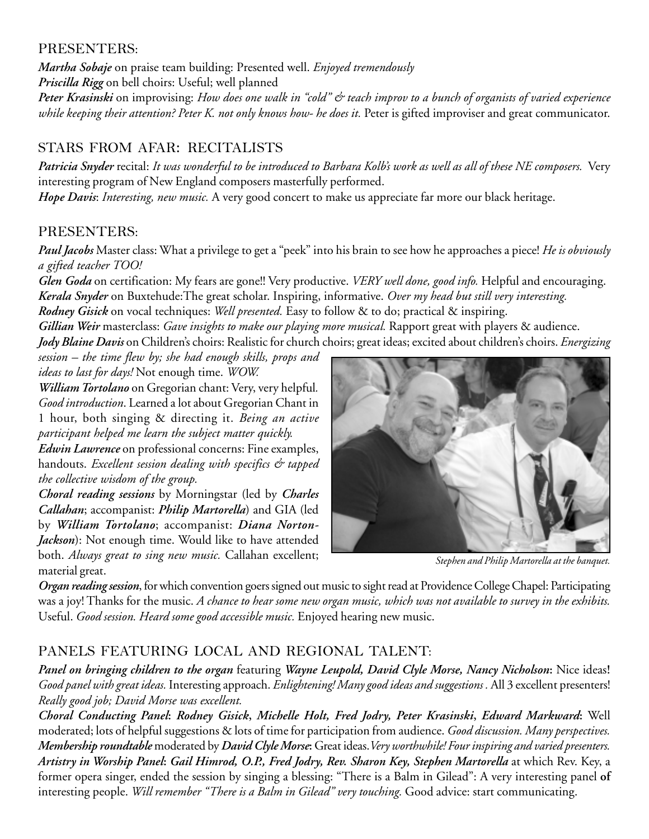#### PRESENTERS:

*Martha Sobaje* on praise team building: Presented well. *Enjoyed tremendously Priscilla Rigg* on bell choirs: Useful; well planned

*Peter Krasinski* on improvising: *How does one walk in "cold" & teach improv to a bunch of organists of varied experience* while keeping their attention? Peter K. not only knows how- he does it. Peter is gifted improviser and great communicator.

## STARS FROM AFAR: RECITALISTS

*Patricia Snyder* recital: *It was wonderful to be introduced to Barbara Kolb's work as well as all of these NE composers.* Very interesting program of New England composers masterfully performed.

*Hope Davis*: *Interesting, new music.* A very good concert to make us appreciate far more our black heritage.

#### PRESENTERS:

*Paul Jacobs* Master class: What a privilege to get a "peek" into his brain to see how he approaches a piece! *He is obviously a gifted teacher TOO!*

*Glen Goda* on certification: My fears are gone!! Very productive. *VERY well done, good info.* Helpful and encouraging. *Kerala Snyder* on Buxtehude:The great scholar. Inspiring, informative. *Over my head but still very interesting.*

*Rodney Gisick* on vocal techniques: *Well presented.* Easy to follow & to do; practical & inspiring.

*Gillian Weir* masterclass: *Gave insights to make our playing more musical.* Rapport great with players & audience. *Jody Blaine Davis* on Children's choirs: Realistic for church choirs; great ideas; excited about children's choirs. *Energizing*

*session – the time flew by; she had enough skills, props and ideas to last for days!* Not enough time. *WOW.*

*William Tortolano* on Gregorian chant: Very, very helpful*. Good introduction*. Learned a lot about Gregorian Chant in 1 hour, both singing & directing it. *Being an active participant helped me learn the subject matter quickly.*

*Edwin Lawrence* on professional concerns: Fine examples, handouts. *Excellent session dealing with specifics & tapped the collective wisdom of the group.*

*Choral reading sessions* by Morningstar (led by *Charles Callahan*; accompanist: *Philip Martorella*) and GIA (led by *William Tortolano*; accompanist: *Diana Norton-Jackson*): Not enough time. Would like to have attended both. *Always great to sing new music.* Callahan excellent; material great.



*Stephen and Philip Martorella at the banquet.*

*Organ reading session*, for which convention goers signed out music to sight read at Providence College Chapel: Participating was a joy! Thanks for the music. *A chance to hear some new organ music, which was not available to survey in the exhibits.* Useful. *Good session. Heard some good accessible music.* Enjoyed hearing new music.

## PANELS FEATURING LOCAL AND REGIONAL TALENT:

*Panel on bringing children to the organ* featuring *Wayne Leupold, David Clyle Morse, Nancy Nicholson***:** Nice ideas**!** *Good panel with great ideas.* Interesting approach. *Enlightening! Many good ideas and suggestions .* All 3 excellent presenters! *Really good job; David Morse was excellent.*

*Choral Conducting Panel***:** *Rodney Gisick***,** *Michelle Holt, Fred Jodry, Peter Krasinski***,** *Edward Markward***:** Well moderated; lots of helpful suggestions & lots of time for participation from audience. *Good discussion. Many perspectives. Membership roundtable* moderated by *David Clyle Morse***:** Great ideas.*Very worthwhile! Four inspiring and varied presenters. Artistry in Worship Panel***:** *Gail Himrod, O.P., Fred Jodry, Rev. Sharon Key, Stephen Martorella* at which Rev. Key, a former opera singer, ended the session by singing a blessing: "There is a Balm in Gilead": A very interesting panel **of** interesting people. *Will remember "There is a Balm in Gilead" very touching.* Good advice: start communicating.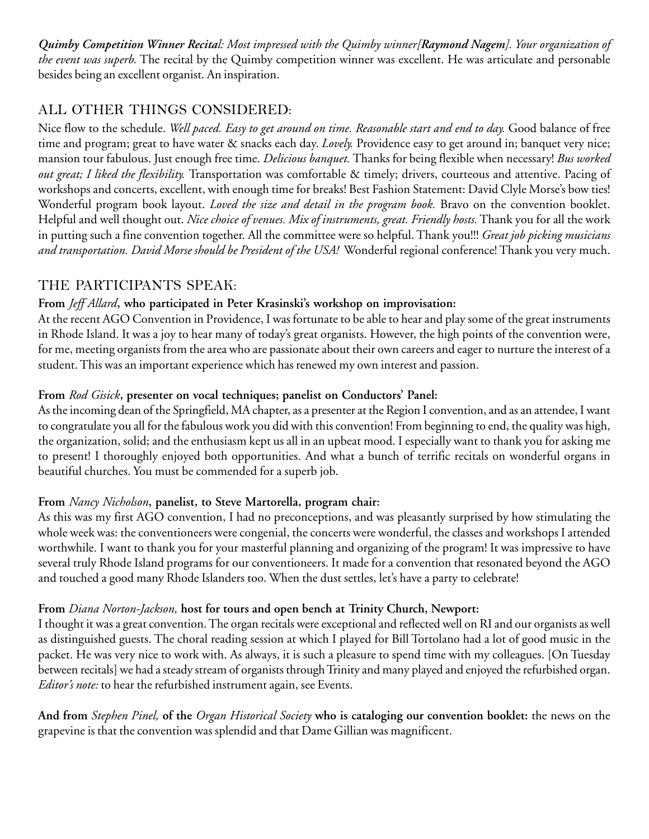*Quimby Competition Winner Recital: Most impressed with the Quimby winner[Raymond Nagem]. Your organization of the event was superb.* The recital by the Quimby competition winner was excellent. He was articulate and personable besides being an excellent organist. An inspiration.

## ALL OTHER THINGS CONSIDERED:

Nice flow to the schedule. *Well paced. Easy to get around on time. Reasonable start and end to day.* Good balance of free time and program; great to have water & snacks each day. *Lovely.* Providence easy to get around in; banquet very nice; mansion tour fabulous. Just enough free time. *Delicious banquet.* Thanks for being flexible when necessary! *Bus worked out great; I liked the flexibility.* Transportation was comfortable & timely; drivers, courteous and attentive. Pacing of workshops and concerts, excellent, with enough time for breaks! Best Fashion Statement: David Clyle Morse's bow ties! Wonderful program book layout. *Loved the size and detail in the program book.* Bravo on the convention booklet. Helpful and well thought out. *Nice choice of venues. Mix of instruments, great. Friendly hosts.* Thank you for all the work in putting such a fine convention together. All the committee were so helpful. Thank you!!! *Great job picking musicians and transportation. David Morse should be President of the USA!* Wonderful regional conference! Thank you very much.

#### THE PARTICIPANTS SPEAK:

#### **From** *Jeff Allard***, who participated in Peter Krasinski's workshop on improvisation:**

At the recent AGO Convention in Providence, I was fortunate to be able to hear and play some of the great instruments in Rhode Island. It was a joy to hear many of today's great organists. However, the high points of the convention were, for me, meeting organists from the area who are passionate about their own careers and eager to nurture the interest of a student. This was an important experience which has renewed my own interest and passion.

#### **From** *Rod Gisick***, presenter on vocal techniques; panelist on Conductors' Panel:**

As the incoming dean of the Springfield, MA chapter, as a presenter at the Region I convention, and as an attendee, I want to congratulate you all for the fabulous work you did with this convention! From beginning to end, the quality was high, the organization, solid; and the enthusiasm kept us all in an upbeat mood. I especially want to thank you for asking me to present! I thoroughly enjoyed both opportunities. And what a bunch of terrific recitals on wonderful organs in beautiful churches. You must be commended for a superb job.

#### **From** *Nancy Nicholson***, panelist, to Steve Martorella, program chair:**

As this was my first AGO convention, I had no preconceptions, and was pleasantly surprised by how stimulating the whole week was: the conventioneers were congenial, the concerts were wonderful, the classes and workshops I attended worthwhile. I want to thank you for your masterful planning and organizing of the program! It was impressive to have several truly Rhode Island programs for our conventioneers. It made for a convention that resonated beyond the AGO and touched a good many Rhode Islanders too. When the dust settles, let's have a party to celebrate!

#### **From** *Diana Norton-Jackson,* **host for tours and open bench at Trinity Church, Newport:**

I thought it was a great convention. The organ recitals were exceptional and reflected well on RI and our organists as well as distinguished guests. The choral reading session at which I played for Bill Tortolano had a lot of good music in the packet. He was very nice to work with. As always, it is such a pleasure to spend time with my colleagues. [On Tuesday between recitals] we had a steady stream of organists through Trinity and many played and enjoyed the refurbished organ. *Editor's note:* to hear the refurbished instrument again, see Events.

**And from** *Stephen Pinel,* **of the** *Organ Historical Society* **who is cataloging our convention booklet:** the news on the grapevine is that the convention was splendid and that Dame Gillian was magnificent.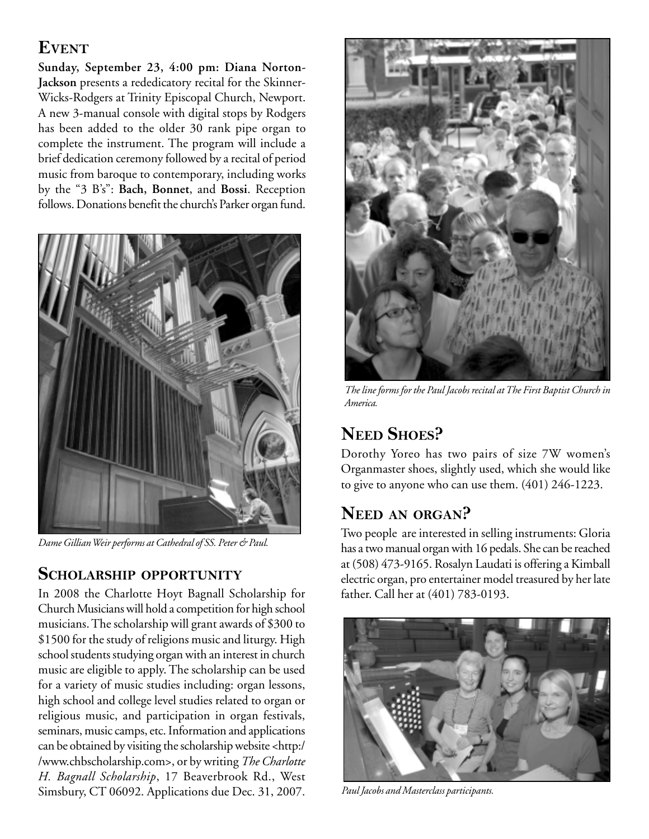# **EVENT**

**Sunday, September 23, 4:00 pm: Diana Norton-Jackson** presents a rededicatory recital for the Skinner-Wicks-Rodgers at Trinity Episcopal Church, Newport. A new 3-manual console with digital stops by Rodgers has been added to the older 30 rank pipe organ to complete the instrument. The program will include a brief dedication ceremony followed by a recital of period music from baroque to contemporary, including works by the "3 B's": **Bach, Bonnet**, and **Bossi**. Reception follows. Donations benefit the church's Parker organ fund.



*Dame Gillian Weir performs at Cathedral of SS. Peter & Paul.*

# **SCHOLARSHIP OPPORTUNITY**

In 2008 the Charlotte Hoyt Bagnall Scholarship for Church Musicians will hold a competition for high school musicians. The scholarship will grant awards of \$300 to \$1500 for the study of religions music and liturgy. High school students studying organ with an interest in church music are eligible to apply. The scholarship can be used for a variety of music studies including: organ lessons, high school and college level studies related to organ or religious music, and participation in organ festivals, seminars, music camps, etc. Information and applications can be obtained by visiting the scholarship website <http:/ /www.chbscholarship.com>, or by writing *The Charlotte H. Bagnall Scholarship*, 17 Beaverbrook Rd., West Simsbury, CT 06092. Applications due Dec. 31, 2007.



*The line forms for the Paul Jacobs recital at The First Baptist Church in America.*

# **NEED SHOES?**

Dorothy Yoreo has two pairs of size 7W women's Organmaster shoes, slightly used, which she would like to give to anyone who can use them. (401) 246-1223.

# **NEED AN ORGAN?**

Two people are interested in selling instruments: Gloria has a two manual organ with 16 pedals. She can be reached at (508) 473-9165. Rosalyn Laudati is offering a Kimball electric organ, pro entertainer model treasured by her late father. Call her at (401) 783-0193.



*Paul Jacobs and Masterclass participants.*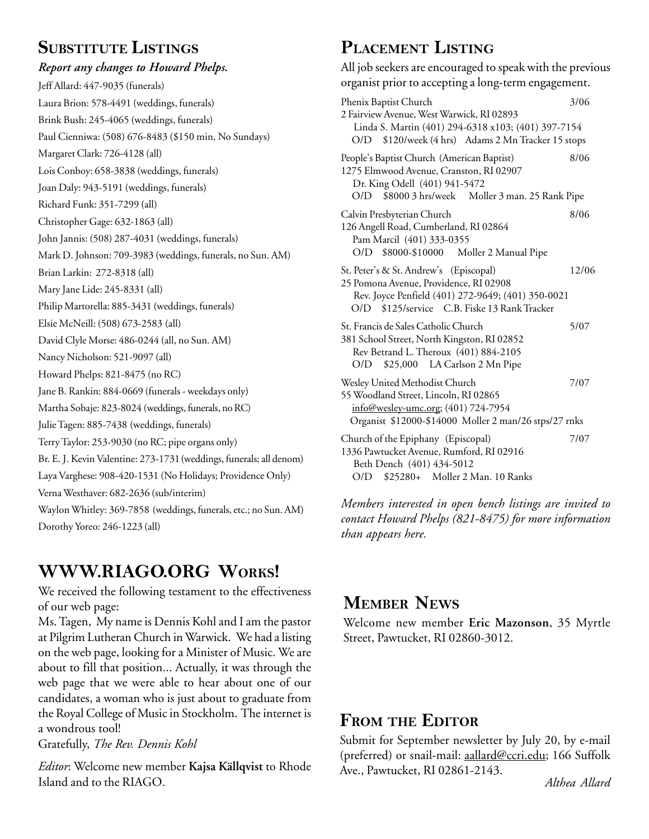# **SUBSTITUTE LISTINGS**

## *Report any changes to Howard Phelps.* Jeff Allard: 447-9035 (funerals) Laura Brion: 578-4491 (weddings, funerals) J Brink Bush: 245-4065 (weddings, funerals) Paul Cienniwa: (508) 676-8483 (\$150 min, No Sundays) Margaret Clark: 726-4128 (all) Lois Conboy: 658-3838 (weddings, funerals) Joan Daly: 943-5191 (weddings, funerals) Richard Funk: 351-7299 (all) Christopher Gage: 632-1863 (all) John Jannis: (508) 287-4031 (weddings, funerals) Mark D. Johnson: 709-3983 (weddings, funerals, no Sun. AM) Brian Larkin: 272-8318 (all) Mary Jane Lide: 245-8331 (all) Philip Martorella: 885-3431 (weddings, funerals) Elsie McNeill: (508) 673-2583 (all) David Clyle Morse: 486-0244 (all, no Sun. AM) Nancy Nicholson: 521-9097 (all) Howard Phelps: 821-8475 (no RC) Jane B. Rankin: 884-0669 (funerals - weekdays only) Martha Sobaje: 823-8024 (weddings, funerals, no RC) Julie Tagen: 885-7438 (weddings, funerals) Terry Taylor: 253-9030 (no RC; pipe organs only) Br. E. J. Kevin Valentine: 273-1731 (weddings, funerals; all denom) Laya Varghese: 908-420-1531 (No Holidays; Providence Only) Verna Westhaver: 682-2636 (sub/interim) Waylon Whitley: 369-7858 (weddings, funerals, etc.; no Sun. AM) Dorothy Yoreo: 246-1223 (all)

# **WWW.RIAGO.ORG WORKS!**

We received the following testament to the effectiveness of our web page:

Ms. Tagen, My name is Dennis Kohl and I am the pastor at Pilgrim Lutheran Church in Warwick. We had a listing on the web page, looking for a Minister of Music. We are about to fill that position... Actually, it was through the web page that we were able to hear about one of our candidates, a woman who is just about to graduate from the Royal College of Music in Stockholm. The internet is a wondrous tool!

Gratefully, *The Rev. Dennis Kohl*

*Editor*: Welcome new member **Kajsa Källqvist** to Rhode Island and to the RIAGO.

# **PLACEMENT LISTING**

All job seekers are encouraged to speak with the previous organist prior to accepting a long-term engagement. Phenix Baptist Church 3/06 2 Fairview Avenue, West Warwick, RI 02893 Linda S. Martin (401) 294-6318 x103; (401) 397-7154 O/D \$120/week (4 hrs) Adams 2 Mn Tracker 15 stops People's Baptist Church (American Baptist) 8/06 1275 Elmwood Avenue, Cranston, RI 02907 Dr. King Odell (401) 941-5472 O/D \$8000 3 hrs/week Moller 3 man. 25 Rank Pipe Calvin Presbyterian Church 8/06 126 Angell Road, Cumberland, RI 02864 Pam Marcil (401) 333-0355 O/D \$8000-\$10000 Moller 2 Manual Pipe St. Peter's & St. Andrew's (Episcopal) 12/06 25 Pomona Avenue, Providence, RI 02908 Rev. Joyce Penfield (401) 272-9649; (401) 350-0021 O/D \$125/service C.B. Fiske 13 Rank Tracker St. Francis de Sales Catholic Church 5/07 381 School Street, North Kingston, RI 02852 Rev Betrand L. Theroux (401) 884-2105 O/D \$25,000 LA Carlson 2 Mn Pipe Wesley United Methodist Church 7/07 55 Woodland Street, Lincoln, RI 02865 info@wesley-umc.org; (401) 724-7954 Organist \$12000-\$14000 Moller 2 man/26 stps/27 rnks Church of the Epiphany (Episcopal) 7/07 1336 Pawtucket Avenue, Rumford, RI 02916 Beth Dench (401) 434-5012 O/D \$25280+ Moller 2 Man. 10 Ranks

*Members interested in open bench listings are invited to contact Howard Phelps (821-8475) for more information than appears here.*

# **MEMBER NEWS**

Welcome new member **Eric Mazonson**, 35 Myrtle Street, Pawtucket, RI 02860-3012.

# **FROM THE EDITOR**

Submit for September newsletter by July 20, by e-mail (preferred) or snail-mail: aallard@ccri.edu; 166 Suffolk Ave., Pawtucket, RI 02861-2143.

*Althea Allard*